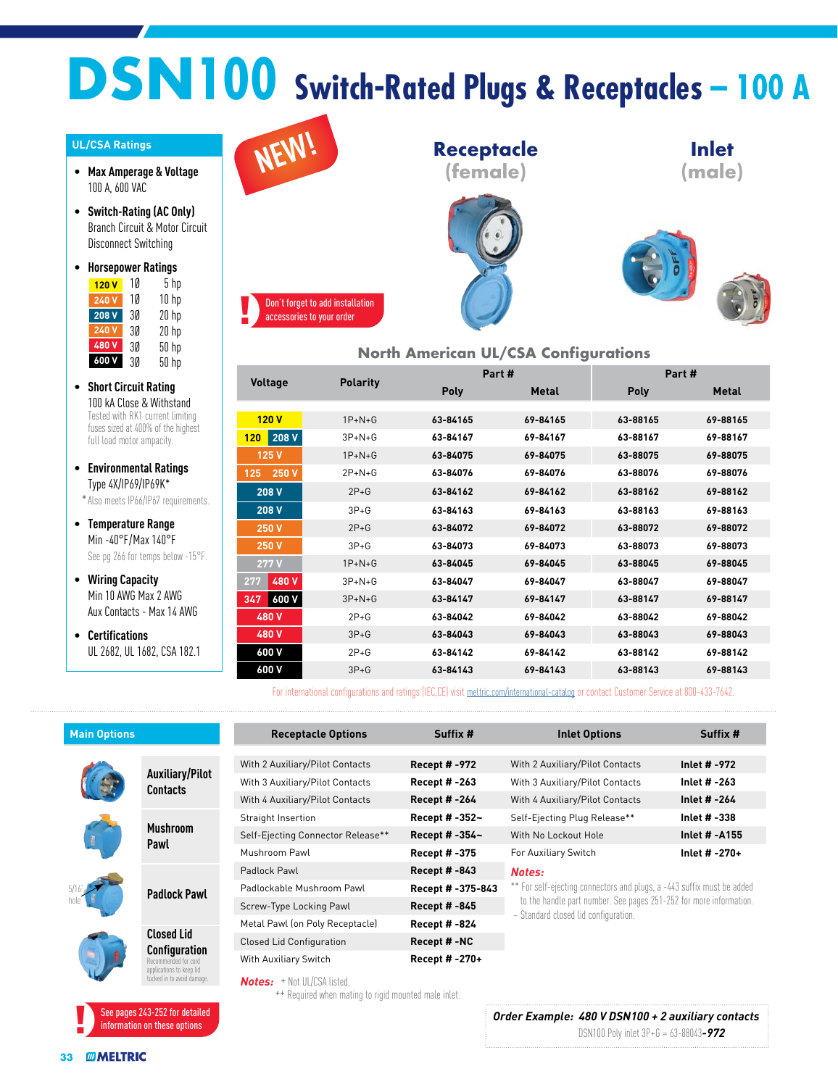## **DSN100 Switch-Rated Plugs & Receptacles – 100 A**

## **UL/CSA Ratings**

- **Max Amperage & Voltage** 100 A, 600 VAC
- **Switch-Rating (AC Only)** Branch Circuit & Motor Circuit Disconnect Switching
- **Horsepower Ratings** 1Ø 5 hp **120 V 240 V** 10 10 hp 3Ø 20 hp **208 V** 3Ø 20 hp 3Ø 50 hp 3Ø 50 hp **600 V 240 V 480 V**
- **Short Circuit Rating** 100 kA Close & Withstand Tested with RK1 current limiting fuses sized at 400% of the highest full load motor ampacity.
- **Environmental Ratings** Type 4X/IP69/IP69K\*

\*Also meets IP66/IP67 requirements.

• **Temperature Range** Min -40°F/Max 140°F See pg 266 for temps below -15°F.

- **Wiring Capacity** Min 10 AWG Max 2 AWG Aux Contacts - Max 14 AWG
- **Certifications** UL 2682, UL 1682, CSA 182.1



## **North American UL/CSA Configurations**

| <b>Voltage</b> | <b>Polarity</b> |          | Part#        | Part#       |              |  |
|----------------|-----------------|----------|--------------|-------------|--------------|--|
|                |                 | Poly     | <b>Metal</b> | <b>Poly</b> | <b>Metal</b> |  |
|                |                 |          |              |             |              |  |
| 120V           | $1P+N+G$        | 63-84165 | 69-84165     | 63-88165    | 69-88165     |  |
| 208 V<br>120   | $3P+N+G$        | 63-84167 | 69-84167     | 63-88167    | 69-88167     |  |
| 125 V          | $1P + N + G$    | 63-84075 | 69-84075     | 63-88075    | 69-88075     |  |
| 250 V<br>125   | $2P + N + G$    | 63-84076 | 69-84076     | 63-88076    | 69-88076     |  |
| 208 V          | $2P+G$          | 63-84162 | 69-84162     | 63-88162    | 69-88162     |  |
| 208 V          | $3P+G$          | 63-84163 | 69-84163     | 63-88163    | 69-88163     |  |
| 250 V          | $2P+G$          | 63-84072 | 69-84072     | 63-88072    | 69-88072     |  |
| 250 V          | $3P+G$          | 63-84073 | 69-84073     | 63-88073    | 69-88073     |  |
| 277 V          | $1P + N + G$    | 63-84045 | 69-84045     | 63-88045    | 69-88045     |  |
| 480V<br>277    | $3P+N+G$        | 63-84047 | 69-84047     | 63-88047    | 69-88047     |  |
| 600 V<br>347   | $3P+N+G$        | 63-84147 | 69-84147     | 63-88147    | 69-88147     |  |
| 480 V          | $2P+G$          | 63-84042 | 69-84042     | 63-88042    | 69-88042     |  |
| 480 V          | $3P + G$        | 63-84043 | 69-84043     | 63-88043    | 69-88043     |  |
| 600 V          | $2P+G$          | 63-84142 | 69-84142     | 63-88142    | 69-88142     |  |
| 600 V          | $3P + G$        | 63-84143 | 69-84143     | 63-88143    | 69-88143     |  |

For international configurations and ratings (IEC,CE) visit [meltric.com/international-catalog](https://meltric.com/media/contentmanager/content/MARECHAL_Full_Catalogue_EN_1.pdf) or contact Customer Service at 800-433-7642.

| <b>Main Options</b> |                                                                                                                      | <b>Receptacle Options</b>                        | Suffix #            | <b>Inlet Options</b>                                                                                       | Suffix #             |  |  |  |
|---------------------|----------------------------------------------------------------------------------------------------------------------|--------------------------------------------------|---------------------|------------------------------------------------------------------------------------------------------------|----------------------|--|--|--|
|                     |                                                                                                                      |                                                  |                     |                                                                                                            |                      |  |  |  |
|                     | <b>Auxiliary/Pilot</b><br><b>Contacts</b>                                                                            | With 2 Auxiliary/Pilot Contacts<br>Recept # -972 |                     | With 2 Auxiliary/Pilot Contacts                                                                            | Inlet # -972         |  |  |  |
|                     |                                                                                                                      | With 3 Auxiliary/Pilot Contacts                  | <b>Recept #-263</b> | With 3 Auxiliary/Pilot Contacts                                                                            | Inlet # -263         |  |  |  |
|                     |                                                                                                                      | With 4 Auxiliary/Pilot Contacts                  | Recept # -264       | With 4 Auxiliary/Pilot Contacts                                                                            | Inlet # -264         |  |  |  |
|                     | <b>Mushroom</b><br>Pawl                                                                                              | Straight Insertion                               | Recept # -352~      | Self-Ejecting Plug Release**                                                                               | Inlet # -338         |  |  |  |
|                     |                                                                                                                      | Self-Ejecting Connector Release**                | Recept # -354~      | With No Lockout Hole                                                                                       | <b>Inlet # -A155</b> |  |  |  |
|                     |                                                                                                                      | Mushroom Pawl                                    | Recept # -375       | For Auxiliary Switch                                                                                       | Inlet # -270+        |  |  |  |
|                     | <b>Padlock Pawl</b>                                                                                                  | Padlock Pawl                                     | <b>Recept #-843</b> | Notes:                                                                                                     |                      |  |  |  |
|                     |                                                                                                                      | Padlockable Mushroom Pawl                        | Recept # -375-843   | ** For self-ejecting connectors and plugs, a -443 suffix must be added                                     |                      |  |  |  |
|                     |                                                                                                                      | Screw-Type Locking Pawl                          | Recept # -845       | to the handle part number. See pages 251-252 for more information.<br>~ Standard closed lid configuration. |                      |  |  |  |
|                     | <b>Closed Lid</b><br>Configuration<br>Recommended for cord<br>applications to keep lid<br>tucked in to avoid damage. | Metal Pawl (on Poly Receptacle)                  | Recept # -824       |                                                                                                            |                      |  |  |  |
|                     |                                                                                                                      | <b>Closed Lid Configuration</b>                  | Recept #-NC         |                                                                                                            |                      |  |  |  |
|                     |                                                                                                                      | With Auxiliary Switch                            | Recept # -270+      |                                                                                                            |                      |  |  |  |
|                     |                                                                                                                      | $Montae. + Not III /CCA listed$                  |                     |                                                                                                            |                      |  |  |  |

**Notes:** + Not UL/CSA listed.<br>++ Required when mating to rigid mounted male inlet.

See pages 243-252 for detailed information on these options